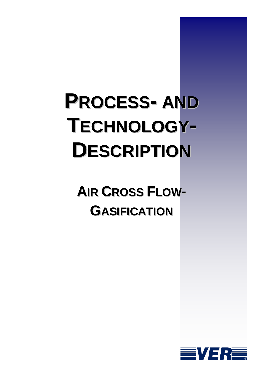# **PROCESS- AND TECHNOLOGY-DESCRIPTION**

**AIR CROSS FLOW-GASIFICATION**

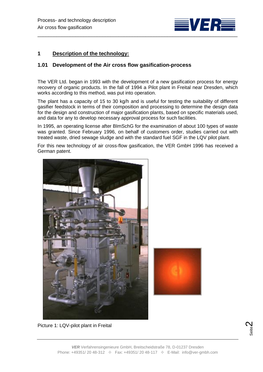

# **1 Description of the technology:**

## **1.01 Development of the Air cross flow gasification-process**

The VER Ltd. began in 1993 with the development of a new gasification process for energy recovery of organic products. In the fall of 1994 a Pilot plant in Freital near Dresden, which works according to this method, was put into operation.

The plant has a capacity of 15 to 30 kg/h and is useful for testing the suitability of different gasifier feedstock in terms of their composition and processing to determine the design data for the design and construction of major gasification plants, based on specific materials used, and data for any to develop necessary approval process for such facilities.

In 1995, an operating license after BImSchG for the examination of about 100 types of waste was granted. Since February 1996, on behalf of customers order, studies carried out with treated waste, dried sewage sludge and with the standard fuel SGF in the LQV pilot plant.

For this new technology of air cross-flow gasification, the VER GmbH 1996 has received a German patent.





Picture 1: LQV-pilot plant in Freital

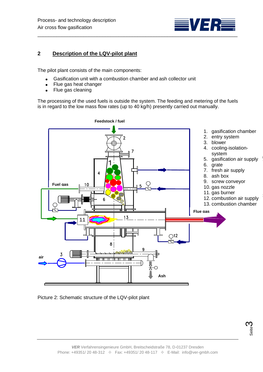

# **2 Description of the LQV-pilot plant**

The pilot plant consists of the main components:

- Gasification unit with a combustion chamber and ash collector unit
- Flue gas heat changer  $\bullet$
- Flue gas cleaning  $\bullet$

The processing of the used fuels is outside the system. The feeding and metering of the fuels is in regard to the low mass flow rates (up to 40 kg/h) presently carried out manually.



Picture 2: Schematic structure of the LQV-pilot plant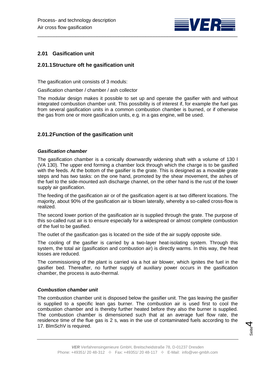

# **2.01 Gasification unit**

## **2.01.1Structure oft he gasification unit**

The gasification unit consists of 3 moduls:

Gasification chamber / chamber / ash collector

The modular design makes it possible to set up and operate the gasifier with and without integrated combustion chamber unit. This possibility is of interest if, for example the fuel gas from several gasification units in a common combustion chamber is burned, or if otherwise the gas from one or more gasification units, e.g. in a gas engine, will be used.

# **2.01.2Function of the gasification unit**

#### *Gasification chamber*

The gasification chamber is a conically downwardly widening shaft with a volume of 130 l (VA 130). The upper end forming a chamber lock through which the charge is to be gasified with the feeds. At the bottom of the gasifier is the grate. This is designed as a movable grate steps and has two tasks: on the one hand, promoted by the shear movement, the ashes of the fuel to the side-mounted ash discharge channel, on the other hand is the rust of the lower supply air gasification.

The feeding of the gasification air or of the gasification agent is at two different locations. The majority, about 90% of the gasification air is blown laterally, whereby a so-called cross-flow is realized.

The second lower portion of the gasification air is supplied through the grate. The purpose of this so-called rust air is to ensure especially for a widespread or almost complete combustion of the fuel to be gasified.

The outlet of the gasification gas is located on the side of the air supply opposite side.

The cooling of the gasifier is carried by a two-layer heat-isolating system. Through this system, the total air (gasification and combustion air) is directly warms. In this way, the heat losses are reduced.

The commissioning of the plant is carried via a hot air blower, which ignites the fuel in the gasifier bed. Thereafter, no further supply of auxiliary power occurs in the gasification chamber, the process is auto-thermal.

## *Combustion chamber unit*

The combustion chamber unit is disposed below the gasifier unit. The gas leaving the gasifier is supplied to a specific lean gas burner. The combustion air is used first to cool the combustion chamber and is thereby further heated before they also the burner is supplied. The combustion chamber is dimensioned such that at an average fuel flow rate, the residence time of the flue gas is 2 s, was in the use of contaminated fuels according to the 17. BImSchV is required.

Seite 4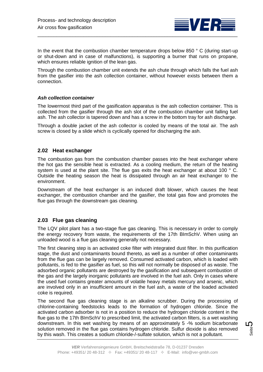

In the event that the combustion chamber temperature drops below 850 ° C (during start-up or shut-down and in case of malfunctions), is supporting a burner that runs on propane, which ensures reliable ignition of the lean gas.

Through the combustion chamber unit extends the ash chute through which falls the fuel ash from the gasifier into the ash collection container, without however exists between them a connection.

## *Ash collection container*

The lowermost third part of the gasification apparatus is the ash collection container. This is collected from the gasifier through the ash slot of the combustion chamber unit falling fuel ash. The ash collector is tapered down and has a screw in the bottom tray for ash discharge.

Through a double jacket of the ash collector is cooled by means of the total air. The ash screw is closed by a slide which is cyclically opened for discharging the ash.

## **2.02 Heat exchanger**

The combustion gas from the combustion chamber passes into the heat exchanger where the hot gas the sensible heat is extracted. As a cooling medium, the return of the heating system is used at the plant site. The flue gas exits the heat exchanger at about 100  $\degree$  C. Outside the heating season the heat is dissipated through an air heat exchanger to the environment.

Downstream of the heat exchanger is an induced draft blower, which causes the heat exchanger, the combustion chamber and the gasifier, the total gas flow and promotes the flue gas through the downstream gas cleaning.

# **2.03 Flue gas cleaning**

The LQV pilot plant has a two-stage flue gas cleaning. This is necessary in order to comply the energy recovery from waste, the requirements of the 17th BImSchV. When using an unloaded wood is a flue gas cleaning generally not necessary.

The first cleaning step is an activated coke filter with integrated dust filter. In this purification stage, the dust and contaminants bound thereto, as well as a number of other contaminants from the flue gas can be largely removed. Consumed activated carbon, which is loaded with pollutants, is fed to the gasifier as fuel, so this will not normally be disposed of as waste. The adsorbed organic pollutants are destroyed by the gasification and subsequent combustion of the gas and the largely inorganic pollutants are involved in the fuel ash. Only in cases where the used fuel contains greater amounts of volatile heavy metals mercury and arsenic, which are involved only in an insufficient amount in the fuel ash, a waste of the loaded activated coke is required.

The second flue gas cleaning stage is an alkaline scrubber. During the processing of chlorine-containing feedstocks leads to the formation of hydrogen chloride. Since the activated carbon adsorber is not in a position to reduce the hydrogen chloride content in the flue gas to the 17th BImSchV to prescribed limit, the activated carbon filters, is a wet washing downstream. In this wet washing by means of an approximately 5 -% sodium bicarbonate solution removed in the flue gas contains hydrogen chloride. Sulfur dioxide is also removed by this wash. This creates a sodium chloride-/-sulfate solution, which is not a pollutant.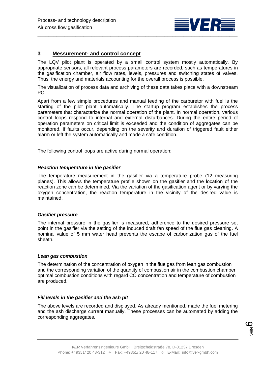

## **3 Messurement- and control concept**

The LQV pilot plant is operated by a small control system mostly automatically. By appropriate sensors, all relevant process parameters are recorded, such as temperatures in the gasification chamber, air flow rates, levels, pressures and switching states of valves. Thus, the energy and materials accounting for the overall process is possible.

The visualization of process data and archiving of these data takes place with a downstream PC.

Apart from a few simple procedures and manual feeding of the carburetor with fuel is the starting of the pilot plant automatically. The startup program establishes the process parameters that characterize the normal operation of the plant. In normal operation, various control loops respond to internal and external disturbances. During the entire period of operation parameters on critical limit is exceeded and the condition of aggregates can be monitored. If faults occur, depending on the severity and duration of triggered fault either alarm or left the system automatically and made a safe condition.

The following control loops are active during normal operation:

#### *Reaction temperature in the gasifier*

The temperature measurement in the gasifier via a temperature probe (12 measuring planes). This allows the temperature profile shown on the gasifier and the location of the reaction zone can be determined. Via the variation of the gasification agent or by varying the oxygen concentration, the reaction temperature in the vicinity of the desired value is maintained.

#### *Gasifier pressure*

The internal pressure in the gasifier is measured, adherence to the desired pressure set point in the gasifier via the setting of the induced draft fan speed of the flue gas cleaning. A nominal value of 5 mm water head prevents the escape of carbonization gas of the fuel sheath.

#### *Lean gas combustion*

The determination of the concentration of oxygen in the flue gas from lean gas combustion and the corresponding variation of the quantity of combustion air in the combustion chamber optimal combustion conditions with regard CO concentration and temperature of combustion are produced.

### *Fill levels in the gasifier and the ash pit*

The above levels are recorded and displayed. As already mentioned, made the fuel metering and the ash discharge current manually. These processes can be automated by adding the corresponding aggregates.